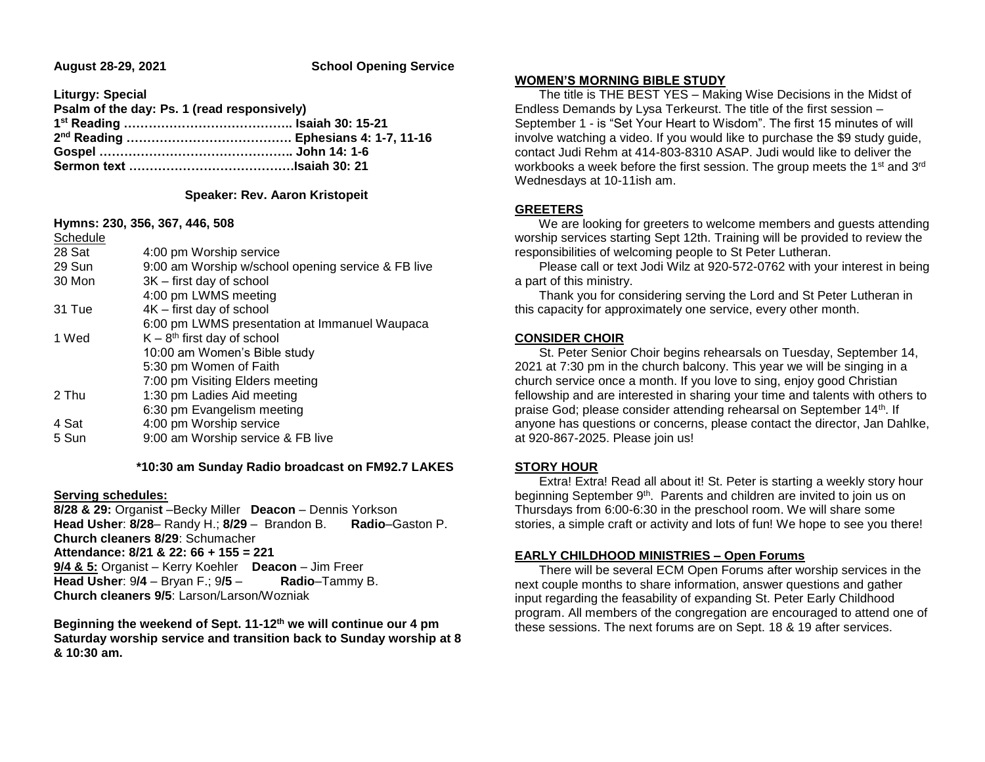## **August 28-29, 2021 School Opening Service**

**Liturgy: Special**

| Psalm of the day: Ps. 1 (read responsively) |  |
|---------------------------------------------|--|
|                                             |  |
|                                             |  |
|                                             |  |
|                                             |  |

## **Speaker: Rev. Aaron Kristopeit**

**Hymns: 230, 356, 367, 446, 508**

| Schedule |                                                    |
|----------|----------------------------------------------------|
| 28 Sat   | 4:00 pm Worship service                            |
| 29 Sun   | 9:00 am Worship w/school opening service & FB live |
| 30 Mon   | 3K – first day of school                           |
|          | 4:00 pm LWMS meeting                               |
| 31 Tue   | 4K - first day of school                           |
|          | 6:00 pm LWMS presentation at Immanuel Waupaca      |
| 1 Wed    | $K - 8th$ first day of school                      |
|          | 10:00 am Women's Bible study                       |
|          | 5:30 pm Women of Faith                             |
|          | 7:00 pm Visiting Elders meeting                    |
| 2 Thu    | 1:30 pm Ladies Aid meeting                         |
|          | 6:30 pm Evangelism meeting                         |
| 4 Sat    | 4:00 pm Worship service                            |
| 5 Sun    | 9:00 am Worship service & FB live                  |
|          |                                                    |

 **\*10:30 am Sunday Radio broadcast on FM92.7 LAKES**

## **Serving schedules:**

**8/28 & 29:** Organis**t** –Becky Miller **Deacon** – Dennis Yorkson **Head Usher**: **8/28**– Randy H.; **8/29** – Brandon B. **Radio**–Gaston P. **Church cleaners 8/29**: Schumacher **Attendance: 8/21 & 22: 66 + 155 = 221 9/4 & 5:** Organist – Kerry Koehler **Deacon** – Jim Freer **Head Usher**: 9**/4** – Bryan F.; 9**/5** – **Radio**–Tammy B. **Church cleaners 9/5**: Larson/Larson/Wozniak

**Beginning the weekend of Sept. 11-12th we will continue our 4 pm Saturday worship service and transition back to Sunday worship at 8 & 10:30 am.**

#### **WOMEN'S MORNING BIBLE STUDY**

 The title is THE BEST YES – Making Wise Decisions in the Midst of Endless Demands by Lysa Terkeurst. The title of the first session – September 1 - is "Set Your Heart to Wisdom". The first 15 minutes of will involve watching a video. If you would like to purchase the \$9 study guide, contact Judi Rehm at 414-803-8310 ASAP. Judi would like to deliver the workbooks a week before the first session. The group meets the 1<sup>st</sup> and 3<sup>rd</sup> Wednesdays at 10-11ish am.

# **GREETERS**

 We are looking for greeters to welcome members and guests attending worship services starting Sept 12th. Training will be provided to review the responsibilities of welcoming people to St Peter Lutheran.

 Please call or text Jodi Wilz at 920-572-0762 with your interest in being a part of this ministry.

 Thank you for considering serving the Lord and St Peter Lutheran in this capacity for approximately one service, every other month.

## **CONSIDER CHOIR**

 St. Peter Senior Choir begins rehearsals on Tuesday, September 14, 2021 at 7:30 pm in the church balcony. This year we will be singing in a church service once a month. If you love to sing, enjoy good Christian fellowship and are interested in sharing your time and talents with others to praise God; please consider attending rehearsal on September 14th. If anyone has questions or concerns, please contact the director, Jan Dahlke, at 920-867-2025. Please join us!

## **STORY HOUR**

 Extra! Extra! Read all about it! St. Peter is starting a weekly story hour beginning September 9<sup>th</sup>. Parents and children are invited to join us on Thursdays from 6:00-6:30 in the preschool room. We will share some stories, a simple craft or activity and lots of fun! We hope to see you there!

# **EARLY CHILDHOOD MINISTRIES – Open Forums**

 There will be several ECM Open Forums after worship services in the next couple months to share information, answer questions and gather input regarding the feasability of expanding St. Peter Early Childhood program. All members of the congregation are encouraged to attend one of these sessions. The next forums are on Sept. 18 & 19 after services.